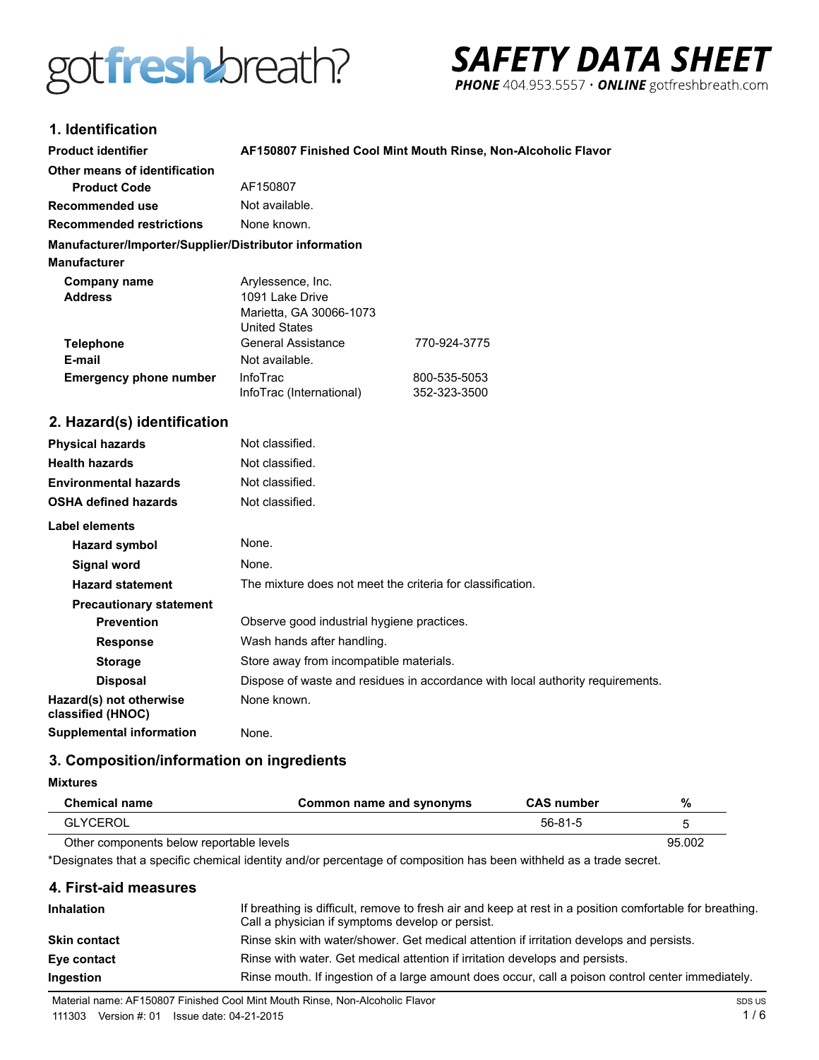



# 1 Identification

| 1. IUGHUHUQUUH                                         |                                                                                         |                                                                                |
|--------------------------------------------------------|-----------------------------------------------------------------------------------------|--------------------------------------------------------------------------------|
| <b>Product identifier</b>                              | AF150807 Finished Cool Mint Mouth Rinse, Non-Alcoholic Flavor                           |                                                                                |
| Other means of identification                          |                                                                                         |                                                                                |
| <b>Product Code</b>                                    | AF150807                                                                                |                                                                                |
| <b>Recommended use</b>                                 | Not available.                                                                          |                                                                                |
| <b>Recommended restrictions</b>                        | None known.                                                                             |                                                                                |
| Manufacturer/Importer/Supplier/Distributor information |                                                                                         |                                                                                |
| <b>Manufacturer</b>                                    |                                                                                         |                                                                                |
| <b>Company name</b><br><b>Address</b>                  | Arylessence, Inc.<br>1091 Lake Drive<br>Marietta, GA 30066-1073<br><b>United States</b> |                                                                                |
| <b>Telephone</b>                                       | <b>General Assistance</b>                                                               | 770-924-3775                                                                   |
| E-mail                                                 | Not available.                                                                          |                                                                                |
| <b>Emergency phone number</b>                          | InfoTrac                                                                                | 800-535-5053                                                                   |
|                                                        | InfoTrac (International)                                                                | 352-323-3500                                                                   |
| 2. Hazard(s) identification                            |                                                                                         |                                                                                |
| <b>Physical hazards</b>                                | Not classified.                                                                         |                                                                                |
| <b>Health hazards</b>                                  | Not classified.                                                                         |                                                                                |
| <b>Environmental hazards</b>                           | Not classified.                                                                         |                                                                                |
| <b>OSHA defined hazards</b>                            | Not classified.                                                                         |                                                                                |
| Label elements                                         |                                                                                         |                                                                                |
| <b>Hazard symbol</b>                                   | None.                                                                                   |                                                                                |
| <b>Signal word</b>                                     | None.                                                                                   |                                                                                |
| <b>Hazard statement</b>                                | The mixture does not meet the criteria for classification.                              |                                                                                |
| <b>Precautionary statement</b>                         |                                                                                         |                                                                                |
| <b>Prevention</b>                                      | Observe good industrial hygiene practices.                                              |                                                                                |
| <b>Response</b>                                        | Wash hands after handling.                                                              |                                                                                |
| <b>Storage</b>                                         | Store away from incompatible materials.                                                 |                                                                                |
| <b>Disposal</b>                                        |                                                                                         | Dispose of waste and residues in accordance with local authority requirements. |
| Hazard(s) not otherwise<br>classified (HNOC)           | None known.                                                                             |                                                                                |
| <b>Supplemental information</b>                        | None.                                                                                   |                                                                                |

# 3. Composition/information on ingredients

#### **Mixtures**

 $\overline{a}$ 

| Chemical name                            | Common name and synonyms | <b>CAS</b> number | %      |
|------------------------------------------|--------------------------|-------------------|--------|
| <b>GLYCEROL</b>                          |                          | $56-81-5$         |        |
| Other components below reportable levels |                          |                   | 95.002 |

\*Designates that a specific chemical identity and/or percentage of composition has been withheld as a trade secret.

### 4. First-aid measures

| <b>Inhalation</b>   | If breathing is difficult, remove to fresh air and keep at rest in a position comfortable for breathing.<br>Call a physician if symptoms develop or persist. |
|---------------------|--------------------------------------------------------------------------------------------------------------------------------------------------------------|
| <b>Skin contact</b> | Rinse skin with water/shower. Get medical attention if irritation develops and persists.                                                                     |
| Eye contact         | Rinse with water. Get medical attention if irritation develops and persists.                                                                                 |
| Ingestion           | Rinse mouth. If ingestion of a large amount does occur, call a poison control center immediately.                                                            |

Material name: AF150807 Finished Cool Mint Mouth Rinse, Non-Alcoholic Flavor

111303 Version #: 01 Issue date: 04-21-2015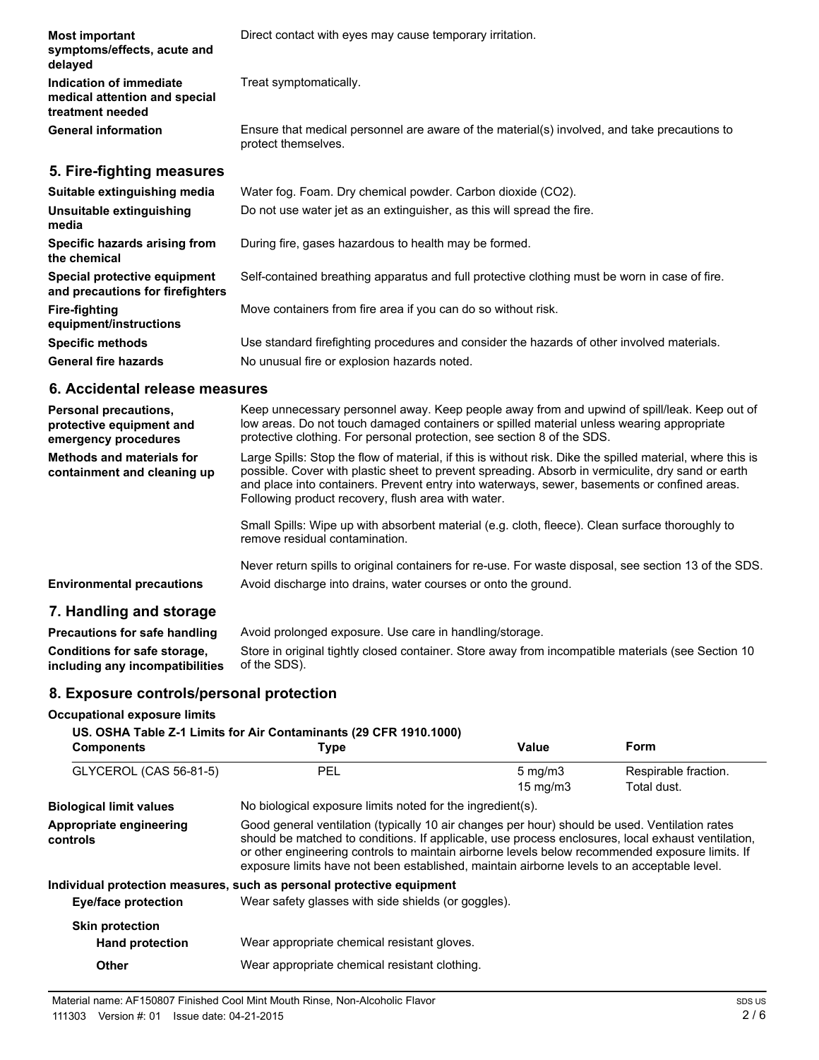| <b>Most important</b><br>symptoms/effects, acute and<br>delayed              | Direct contact with eyes may cause temporary irritation.                                                            |
|------------------------------------------------------------------------------|---------------------------------------------------------------------------------------------------------------------|
| Indication of immediate<br>medical attention and special<br>treatment needed | Treat symptomatically.                                                                                              |
| <b>General information</b>                                                   | Ensure that medical personnel are aware of the material(s) involved, and take precautions to<br>protect themselves. |
| 5. Fire-fighting measures                                                    |                                                                                                                     |
| Suitable extinguishing media                                                 | Water fog. Foam. Dry chemical powder. Carbon dioxide (CO2).                                                         |
| Unsuitable extinguishing<br>media                                            | Do not use water jet as an extinguisher, as this will spread the fire.                                              |
| Specific hazards arising from<br>the chemical                                | During fire, gases hazardous to health may be formed.                                                               |
| Special protective equipment<br>and precautions for firefighters             | Self-contained breathing apparatus and full protective clothing must be worn in case of fire.                       |
| Fire-fighting<br>equipment/instructions                                      | Move containers from fire area if you can do so without risk.                                                       |
| <b>Specific methods</b>                                                      | Use standard firefighting procedures and consider the hazards of other involved materials.                          |

General fire hazards **No unusual fire or explosion hazards noted.** 

# **6. Accidental release measures**

| <b>Personal precautions.</b><br>protective equipment and<br>emergency procedures | Keep unnecessary personnel away. Keep people away from and upwind of spill/leak. Keep out of<br>low areas. Do not touch damaged containers or spilled material unless wearing appropriate<br>protective clothing. For personal protection, see section 8 of the SDS.                                                                                                  |
|----------------------------------------------------------------------------------|-----------------------------------------------------------------------------------------------------------------------------------------------------------------------------------------------------------------------------------------------------------------------------------------------------------------------------------------------------------------------|
| Methods and materials for<br>containment and cleaning up                         | Large Spills: Stop the flow of material, if this is without risk. Dike the spilled material, where this is<br>possible. Cover with plastic sheet to prevent spreading. Absorb in vermiculite, dry sand or earth<br>and place into containers. Prevent entry into waterways, sewer, basements or confined areas.<br>Following product recovery, flush area with water. |
|                                                                                  | Small Spills: Wipe up with absorbent material (e.g. cloth, fleece). Clean surface thoroughly to<br>remove residual contamination.                                                                                                                                                                                                                                     |
|                                                                                  | Never return spills to original containers for re-use. For waste disposal, see section 13 of the SDS.                                                                                                                                                                                                                                                                 |
| <b>Environmental precautions</b>                                                 | Avoid discharge into drains, water courses or onto the ground.                                                                                                                                                                                                                                                                                                        |
| 7. Handling and storage                                                          |                                                                                                                                                                                                                                                                                                                                                                       |

#### **Precautions for safe handling** Avoid prolonged exposure. Use care in handling/storage. **Conditions for safe storage, including any incompatibilities** Store in original tightly closed container. Store away from incompatible materials (see Section 10 of the SDS).

# **8. Exposure controls/personal protection**

### **Occupational exposure limits**

| <b>Components</b>                                | US. OSHA Table Z-1 Limits for Air Contaminants (29 CFR 1910.1000)<br><b>Type</b>                                                                                                                                                                                                                                                                                                                       | Value                                 | <b>Form</b>                         |
|--------------------------------------------------|--------------------------------------------------------------------------------------------------------------------------------------------------------------------------------------------------------------------------------------------------------------------------------------------------------------------------------------------------------------------------------------------------------|---------------------------------------|-------------------------------------|
| GLYCEROL (CAS 56-81-5)                           | <b>PEL</b>                                                                                                                                                                                                                                                                                                                                                                                             | $5 \text{ mg/m}$<br>$15 \text{ mg/m}$ | Respirable fraction.<br>Total dust. |
| <b>Biological limit values</b>                   | No biological exposure limits noted for the ingredient(s).                                                                                                                                                                                                                                                                                                                                             |                                       |                                     |
| Appropriate engineering<br>controls              | Good general ventilation (typically 10 air changes per hour) should be used. Ventilation rates<br>should be matched to conditions. If applicable, use process enclosures, local exhaust ventilation,<br>or other engineering controls to maintain airborne levels below recommended exposure limits. If<br>exposure limits have not been established, maintain airborne levels to an acceptable level. |                                       |                                     |
|                                                  | Individual protection measures, such as personal protective equipment                                                                                                                                                                                                                                                                                                                                  |                                       |                                     |
| Eye/face protection                              | Wear safety glasses with side shields (or goggles).                                                                                                                                                                                                                                                                                                                                                    |                                       |                                     |
| <b>Skin protection</b><br><b>Hand protection</b> | Wear appropriate chemical resistant gloves.                                                                                                                                                                                                                                                                                                                                                            |                                       |                                     |
| Other                                            | Wear appropriate chemical resistant clothing.                                                                                                                                                                                                                                                                                                                                                          |                                       |                                     |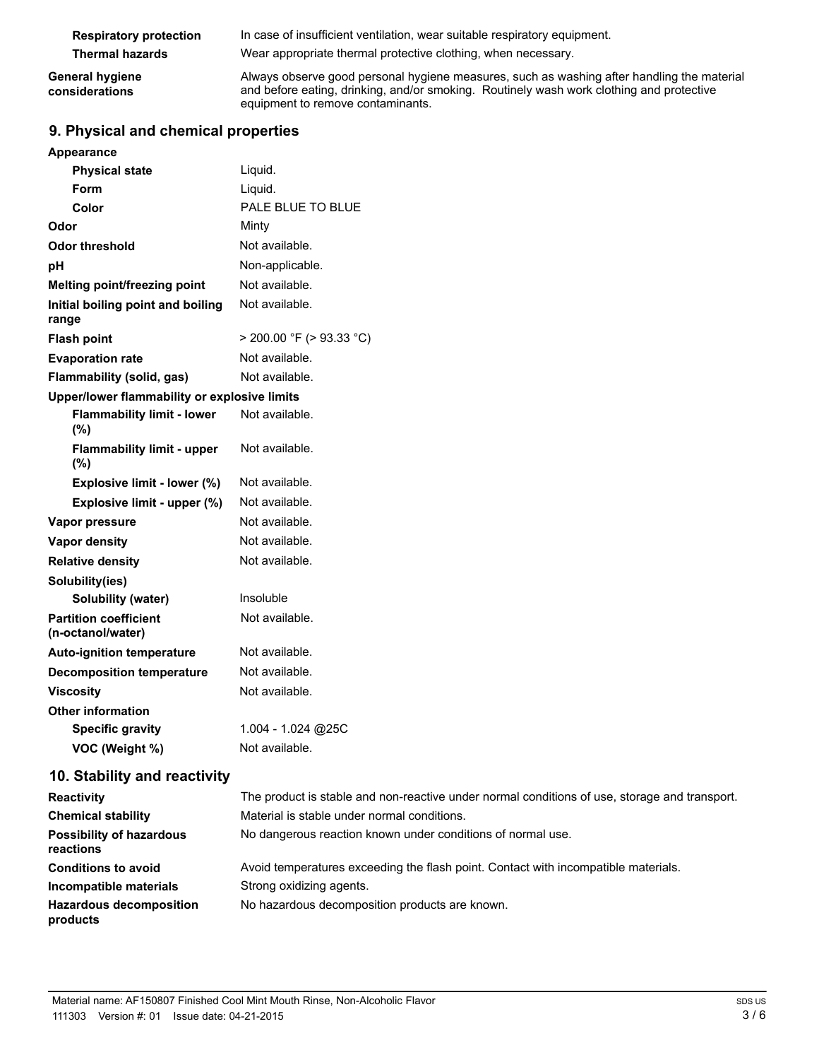| <b>Respiratory protection</b>            | In case of insufficient ventilation, wear suitable respiratory equipment.                                                                                                                                                   |
|------------------------------------------|-----------------------------------------------------------------------------------------------------------------------------------------------------------------------------------------------------------------------------|
| <b>Thermal hazards</b>                   | Wear appropriate thermal protective clothing, when necessary.                                                                                                                                                               |
| <b>General hygiene</b><br>considerations | Always observe good personal hygiene measures, such as washing after handling the material<br>and before eating, drinking, and/or smoking. Routinely wash work clothing and protective<br>equipment to remove contaminants. |

# **9. Physical and chemical properties**

# **Appearance**

| <b>Physical state</b>                             | Liquid.                       |  |
|---------------------------------------------------|-------------------------------|--|
| Form                                              | Liquid.                       |  |
| Color                                             | PALE BLUE TO BLUE             |  |
| Odor                                              | Minty                         |  |
| Odor threshold                                    | Not available.                |  |
| рH                                                | Non-applicable.               |  |
| Melting point/freezing point                      | Not available.                |  |
| Initial boiling point and boiling<br>range        | Not available.                |  |
| <b>Flash point</b>                                | $>$ 200.00 °F ( $>$ 93.33 °C) |  |
| <b>Evaporation rate</b>                           | Not available.                |  |
| Flammability (solid, gas)                         | Not available.                |  |
| Upper/lower flammability or explosive limits      |                               |  |
| <b>Flammability limit - lower</b><br>$(\% )$      | Not available.                |  |
| <b>Flammability limit - upper</b><br>(%)          | Not available.                |  |
| Explosive limit - lower (%)                       | Not available.                |  |
| Explosive limit - upper (%)                       | Not available.                |  |
| Vapor pressure                                    | Not available.                |  |
| <b>Vapor density</b>                              | Not available.                |  |
| <b>Relative density</b>                           | Not available.                |  |
| Solubility(ies)                                   |                               |  |
| Solubility (water)                                | Insoluble                     |  |
| <b>Partition coefficient</b><br>(n-octanol/water) | Not available.                |  |
| <b>Auto-ignition temperature</b>                  | Not available.                |  |
| <b>Decomposition temperature</b>                  | Not available.                |  |
| <b>Viscosity</b>                                  | Not available.                |  |
| <b>Other information</b>                          |                               |  |
| <b>Specific gravity</b>                           | 1.004 - 1.024 @25C            |  |
| VOC (Weight %)                                    | Not available.                |  |

# **10. Stability and reactivity**

| <b>Reactivity</b>                            | The product is stable and non-reactive under normal conditions of use, storage and transport. |
|----------------------------------------------|-----------------------------------------------------------------------------------------------|
| <b>Chemical stability</b>                    | Material is stable under normal conditions.                                                   |
| <b>Possibility of hazardous</b><br>reactions | No dangerous reaction known under conditions of normal use.                                   |
| <b>Conditions to avoid</b>                   | Avoid temperatures exceeding the flash point. Contact with incompatible materials.            |
| Incompatible materials                       | Strong oxidizing agents.                                                                      |
| <b>Hazardous decomposition</b><br>products   | No hazardous decomposition products are known.                                                |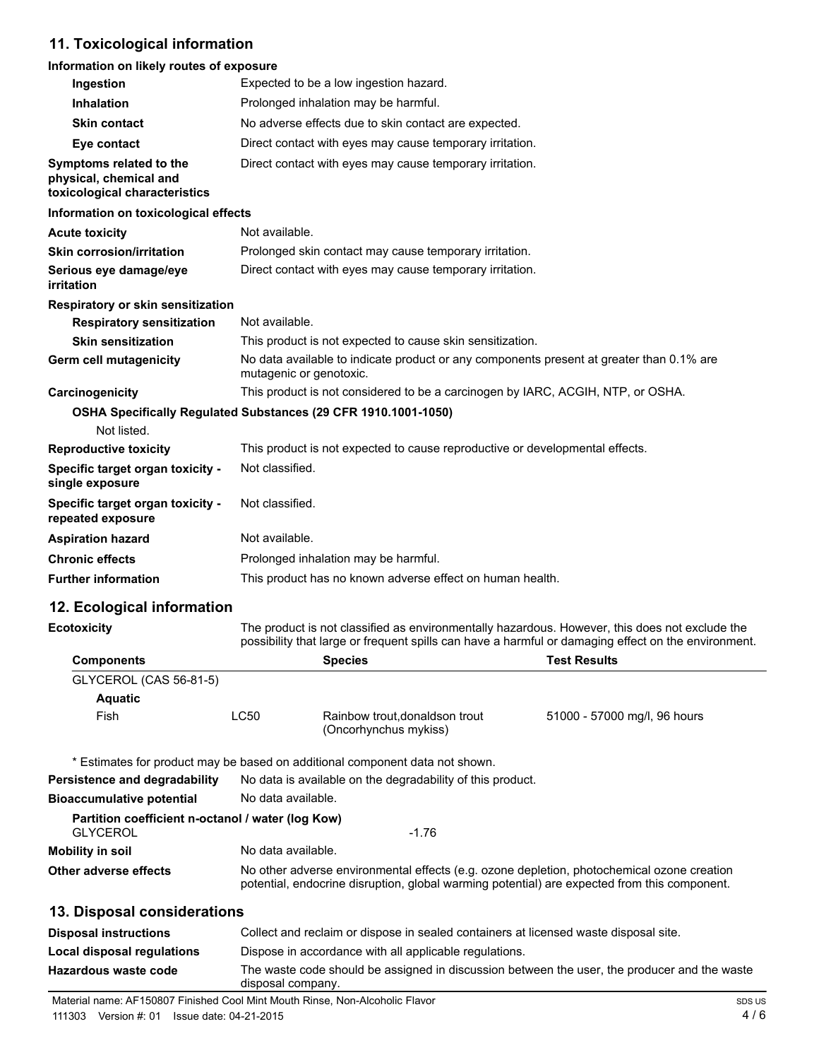# **11. Toxicological information**

# **Information on likely routes of exposure**

| Ingestion                                                                          | Expected to be a low ingestion hazard.                                                                              |
|------------------------------------------------------------------------------------|---------------------------------------------------------------------------------------------------------------------|
| <b>Inhalation</b>                                                                  | Prolonged inhalation may be harmful.                                                                                |
| <b>Skin contact</b>                                                                | No adverse effects due to skin contact are expected.                                                                |
| Eye contact                                                                        | Direct contact with eyes may cause temporary irritation.                                                            |
| Symptoms related to the<br>physical, chemical and<br>toxicological characteristics | Direct contact with eyes may cause temporary irritation.                                                            |
| Information on toxicological effects                                               |                                                                                                                     |
| <b>Acute toxicity</b>                                                              | Not available.                                                                                                      |
| <b>Skin corrosion/irritation</b>                                                   | Prolonged skin contact may cause temporary irritation.                                                              |
| Serious eye damage/eye<br>irritation                                               | Direct contact with eyes may cause temporary irritation.                                                            |
| Respiratory or skin sensitization                                                  |                                                                                                                     |
| <b>Respiratory sensitization</b>                                                   | Not available.                                                                                                      |
| <b>Skin sensitization</b>                                                          | This product is not expected to cause skin sensitization.                                                           |
| Germ cell mutagenicity                                                             | No data available to indicate product or any components present at greater than 0.1% are<br>mutagenic or genotoxic. |
| Carcinogenicity                                                                    | This product is not considered to be a carcinogen by IARC, ACGIH, NTP, or OSHA.                                     |
| Not listed.                                                                        | OSHA Specifically Regulated Substances (29 CFR 1910.1001-1050)                                                      |
| <b>Reproductive toxicity</b>                                                       | This product is not expected to cause reproductive or developmental effects.                                        |
| Specific target organ toxicity -<br>single exposure                                | Not classified.                                                                                                     |
| Specific target organ toxicity -<br>repeated exposure                              | Not classified.                                                                                                     |
| <b>Aspiration hazard</b>                                                           | Not available.                                                                                                      |
| <b>Chronic effects</b>                                                             | Prolonged inhalation may be harmful.                                                                                |
| <b>Further information</b>                                                         | This product has no known adverse effect on human health.                                                           |

# **12. Ecological information**

| <b>Ecotoxicity</b>                                | The product is not classified as environmentally hazardous. However, this does not exclude the<br>possibility that large or frequent spills can have a harmful or damaging effect on the environment. |                                                                              |                                                                                                                                                                                            |  |
|---------------------------------------------------|-------------------------------------------------------------------------------------------------------------------------------------------------------------------------------------------------------|------------------------------------------------------------------------------|--------------------------------------------------------------------------------------------------------------------------------------------------------------------------------------------|--|
| <b>Components</b>                                 | <b>Species</b><br><b>Test Results</b>                                                                                                                                                                 |                                                                              |                                                                                                                                                                                            |  |
| GLYCEROL (CAS 56-81-5)                            |                                                                                                                                                                                                       |                                                                              |                                                                                                                                                                                            |  |
| <b>Aquatic</b>                                    |                                                                                                                                                                                                       |                                                                              |                                                                                                                                                                                            |  |
| Fish                                              | LC50                                                                                                                                                                                                  | Rainbow trout, donaldson trout<br>(Oncorhynchus mykiss)                      | 51000 - 57000 mg/l, 96 hours                                                                                                                                                               |  |
|                                                   |                                                                                                                                                                                                       | * Estimates for product may be based on additional component data not shown. |                                                                                                                                                                                            |  |
| Persistence and degradability                     |                                                                                                                                                                                                       | No data is available on the degradability of this product.                   |                                                                                                                                                                                            |  |
| Bioaccumulative potential                         | No data available.                                                                                                                                                                                    |                                                                              |                                                                                                                                                                                            |  |
| Partition coefficient n-octanol / water (log Kow) |                                                                                                                                                                                                       |                                                                              |                                                                                                                                                                                            |  |
| <b>GLYCEROL</b>                                   |                                                                                                                                                                                                       | $-1.76$                                                                      |                                                                                                                                                                                            |  |
| Mobility in soil                                  | No data available.                                                                                                                                                                                    |                                                                              |                                                                                                                                                                                            |  |
| Other adverse effects                             |                                                                                                                                                                                                       |                                                                              | No other adverse environmental effects (e.g. ozone depletion, photochemical ozone creation<br>potential, endocrine disruption, global warming potential) are expected from this component. |  |
| 40 Block of constitutions                         |                                                                                                                                                                                                       |                                                                              |                                                                                                                                                                                            |  |

# **13. Disposal considerations**

| <b>Disposal instructions</b> | Collect and reclaim or dispose in sealed containers at licensed waste disposal site.                              |
|------------------------------|-------------------------------------------------------------------------------------------------------------------|
| Local disposal regulations   | Dispose in accordance with all applicable regulations.                                                            |
| Hazardous waste code         | The waste code should be assigned in discussion between the user, the producer and the waste<br>disposal company. |

Material name: AF150807 Finished Cool Mint Mouth Rinse, Non-Alcoholic Flavor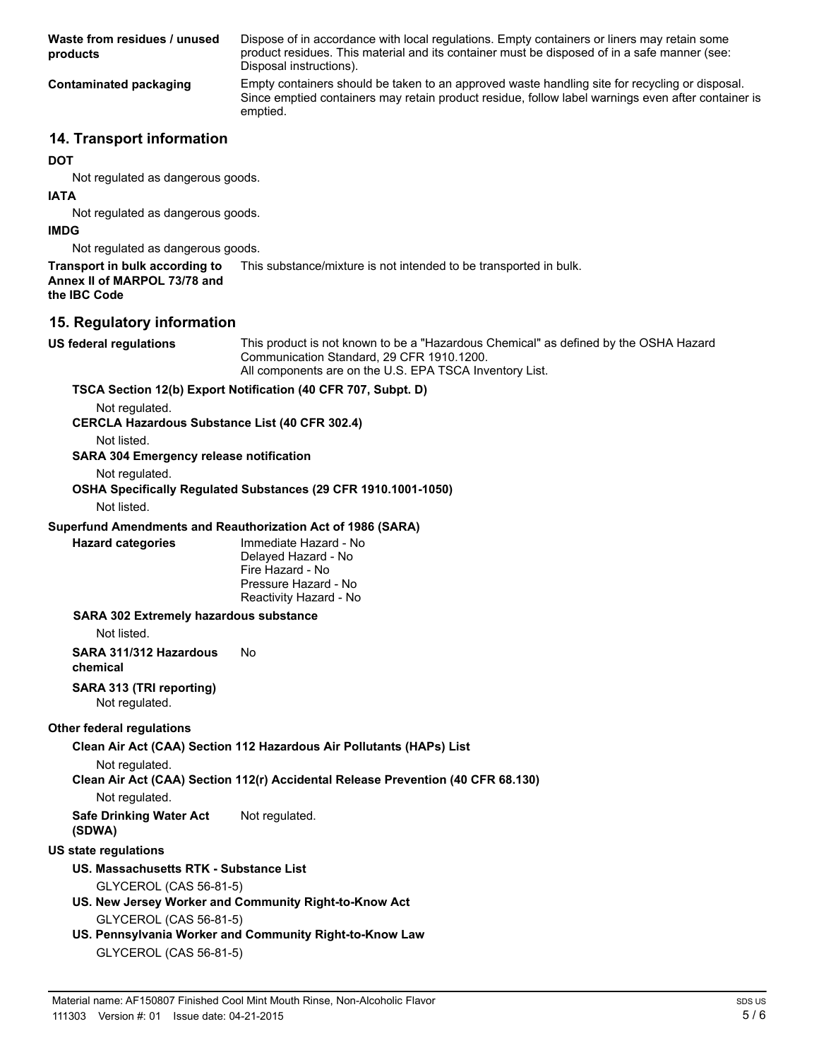**Waste from residues / unused products** Dispose of in accordance with local regulations. Empty containers or liners may retain some product residues. This material and its container must be disposed of in a safe manner (see: Disposal instructions). **Contaminated packaging** Empty containers should be taken to an approved waste handling site for recycling or disposal. Since emptied containers may retain product residue, follow label warnings even after container is emptied.

# **14. Transport information**

#### **DOT**

Not regulated as dangerous goods.

# **IATA**

Not regulated as dangerous goods.

#### **IMDG**

Not regulated as dangerous goods.

**Transport in bulk according to** This substance/mixture is not intended to be transported in bulk. **Annex II of MARPOL 73/78 and the IBC Code**

# **15. Regulatory information**

**US federal regulations** This product is not known to be a "Hazardous Chemical" as defined by the OSHA Hazard Communication Standard, 29 CFR 1910.1200. All components are on the U.S. EPA TSCA Inventory List.

# **TSCA Section 12(b) Export Notification (40 CFR 707, Subpt. D)**

Not regulated.

# **CERCLA Hazardous Substance List (40 CFR 302.4)**

Not listed.

#### **SARA 304 Emergency release notification**

Not regulated.

#### **OSHA Specifically Regulated Substances (29 CFR 1910.1001-1050)** Not listed.

**Superfund Amendments and Reauthorization Act of 1986 (SARA)**

**Hazard categories** Immediate Hazard - No Delayed Hazard - No Fire Hazard - No Pressure Hazard - No Reactivity Hazard - No

### **SARA 302 Extremely hazardous substance**

Not listed.

**SARA 311/312 Hazardous** No

**chemical**

#### **SARA 313 (TRI reporting)** Not regulated.

### **Other federal regulations**

**Clean Air Act (CAA) Section 112 Hazardous Air Pollutants (HAPs) List**

Not regulated.

# **Clean Air Act (CAA) Section 112(r) Accidental Release Prevention (40 CFR 68.130)**

Not regulated.

**Safe Drinking Water Act (SDWA)** Not regulated.

# **US state regulations**

# **US. Massachusetts RTK - Substance List**

GLYCEROL (CAS 56-81-5)

- **US. New Jersey Worker and Community Right-to-Know Act** GLYCEROL (CAS 56-81-5)
- **US. Pennsylvania Worker and Community Right-to-Know Law** GLYCEROL (CAS 56-81-5)